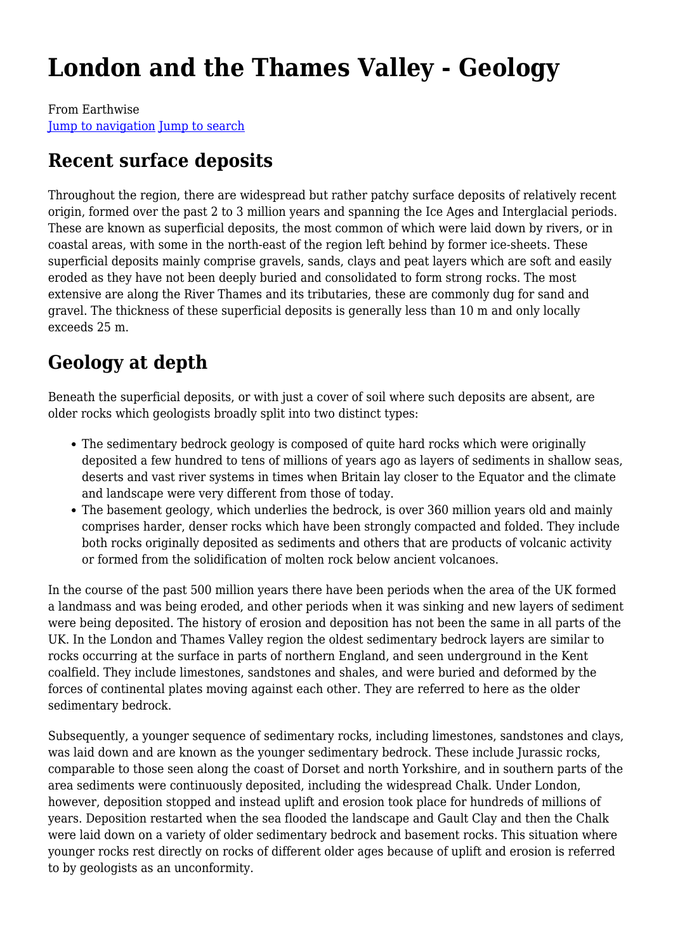# **London and the Thames Valley - Geology**

From Earthwise [Jump to navigation](#page--1-0) [Jump to search](#page--1-0)

## **Recent surface deposits**

Throughout the region, there are widespread but rather patchy surface deposits of relatively recent origin, formed over the past 2 to 3 million years and spanning the Ice Ages and Interglacial periods. These are known as superficial deposits, the most common of which were laid down by rivers, or in coastal areas, with some in the north-east of the region left behind by former ice-sheets. These superficial deposits mainly comprise gravels, sands, clays and peat layers which are soft and easily eroded as they have not been deeply buried and consolidated to form strong rocks. The most extensive are along the River Thames and its tributaries, these are commonly dug for sand and gravel. The thickness of these superficial deposits is generally less than 10 m and only locally exceeds 25 m.

# **Geology at depth**

Beneath the superficial deposits, or with just a cover of soil where such deposits are absent, are older rocks which geologists broadly split into two distinct types:

- The sedimentary bedrock geology is composed of quite hard rocks which were originally deposited a few hundred to tens of millions of years ago as layers of sediments in shallow seas, deserts and vast river systems in times when Britain lay closer to the Equator and the climate and landscape were very different from those of today.
- The basement geology, which underlies the bedrock, is over 360 million years old and mainly comprises harder, denser rocks which have been strongly compacted and folded. They include both rocks originally deposited as sediments and others that are products of volcanic activity or formed from the solidification of molten rock below ancient volcanoes.

In the course of the past 500 million years there have been periods when the area of the UK formed a landmass and was being eroded, and other periods when it was sinking and new layers of sediment were being deposited. The history of erosion and deposition has not been the same in all parts of the UK. In the London and Thames Valley region the oldest sedimentary bedrock layers are similar to rocks occurring at the surface in parts of northern England, and seen underground in the Kent coalfield. They include limestones, sandstones and shales, and were buried and deformed by the forces of continental plates moving against each other. They are referred to here as the older sedimentary bedrock.

Subsequently, a younger sequence of sedimentary rocks, including limestones, sandstones and clays, was laid down and are known as the younger sedimentary bedrock. These include Jurassic rocks, comparable to those seen along the coast of Dorset and north Yorkshire, and in southern parts of the area sediments were continuously deposited, including the widespread Chalk. Under London, however, deposition stopped and instead uplift and erosion took place for hundreds of millions of years. Deposition restarted when the sea flooded the landscape and Gault Clay and then the Chalk were laid down on a variety of older sedimentary bedrock and basement rocks. This situation where younger rocks rest directly on rocks of different older ages because of uplift and erosion is referred to by geologists as an unconformity.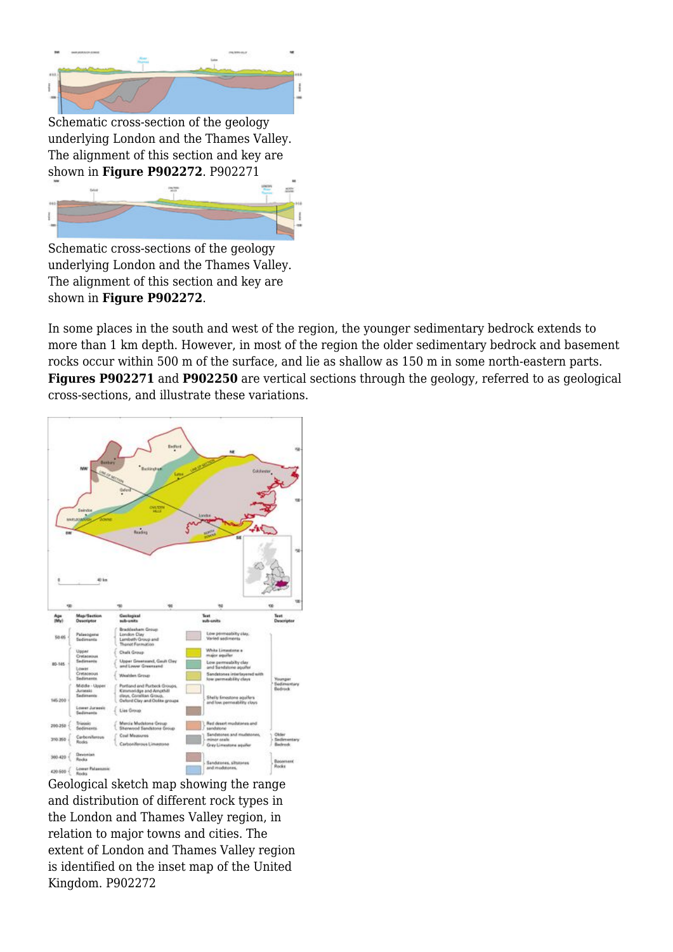

The alignment of this section and key are shown in **Figure P902272**. P902271



Schematic cross-sections of the geology underlying London and the Thames Valley. The alignment of this section and key are shown in **Figure P902272**.

In some places in the south and west of the region, the younger sedimentary bedrock extends to more than 1 km depth. However, in most of the region the older sedimentary bedrock and basement rocks occur within 500 m of the surface, and lie as shallow as 150 m in some north-eastern parts. **Figures P902271** and **P902250** are vertical sections through the geology, referred to as geological cross-sections, and illustrate these variations.



Geological sketch map showing the range and distribution of different rock types in the London and Thames Valley region, in relation to major towns and cities. The extent of London and Thames Valley region is identified on the inset map of the United Kingdom. P902272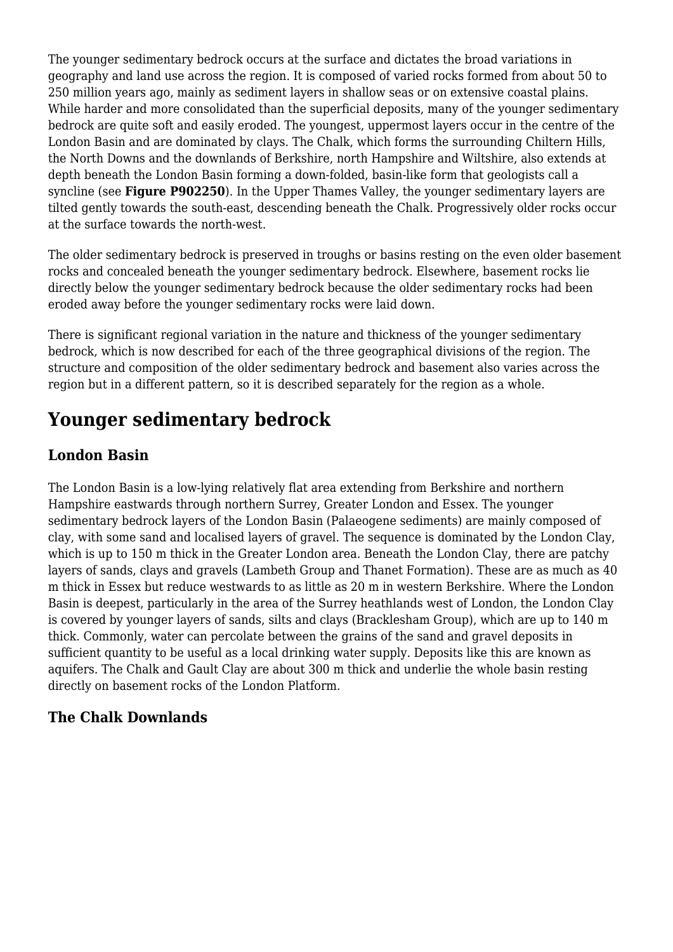The younger sedimentary bedrock occurs at the surface and dictates the broad variations in geography and land use across the region. It is composed of varied rocks formed from about 50 to 250 million years ago, mainly as sediment layers in shallow seas or on extensive coastal plains. While harder and more consolidated than the superficial deposits, many of the younger sedimentary bedrock are quite soft and easily eroded. The youngest, uppermost layers occur in the centre of the London Basin and are dominated by clays. The Chalk, which forms the surrounding Chiltern Hills, the North Downs and the downlands of Berkshire, north Hampshire and Wiltshire, also extends at depth beneath the London Basin forming a down-folded, basin-like form that geologists call a syncline (see **Figure P902250**). In the Upper Thames Valley, the younger sedimentary layers are tilted gently towards the south-east, descending beneath the Chalk. Progressively older rocks occur at the surface towards the north-west.

The older sedimentary bedrock is preserved in troughs or basins resting on the even older basement rocks and concealed beneath the younger sedimentary bedrock. Elsewhere, basement rocks lie directly below the younger sedimentary bedrock because the older sedimentary rocks had been eroded away before the younger sedimentary rocks were laid down.

There is significant regional variation in the nature and thickness of the younger sedimentary bedrock, which is now described for each of the three geographical divisions of the region. The structure and composition of the older sedimentary bedrock and basement also varies across the region but in a different pattern, so it is described separately for the region as a whole.

## **Younger sedimentary bedrock**

#### **London Basin**

The London Basin is a low-lying relatively flat area extending from Berkshire and northern Hampshire eastwards through northern Surrey, Greater London and Essex. The younger sedimentary bedrock layers of the London Basin (Palaeogene sediments) are mainly composed of clay, with some sand and localised layers of gravel. The sequence is dominated by the London Clay, which is up to 150 m thick in the Greater London area. Beneath the London Clay, there are patchy layers of sands, clays and gravels (Lambeth Group and Thanet Formation). These are as much as 40 m thick in Essex but reduce westwards to as little as 20 m in western Berkshire. Where the London Basin is deepest, particularly in the area of the Surrey heathlands west of London, the London Clay is covered by younger layers of sands, silts and clays (Bracklesham Group), which are up to 140 m thick. Commonly, water can percolate between the grains of the sand and gravel deposits in sufficient quantity to be useful as a local drinking water supply. Deposits like this are known as aquifers. The Chalk and Gault Clay are about 300 m thick and underlie the whole basin resting directly on basement rocks of the London Platform.

#### **The Chalk Downlands**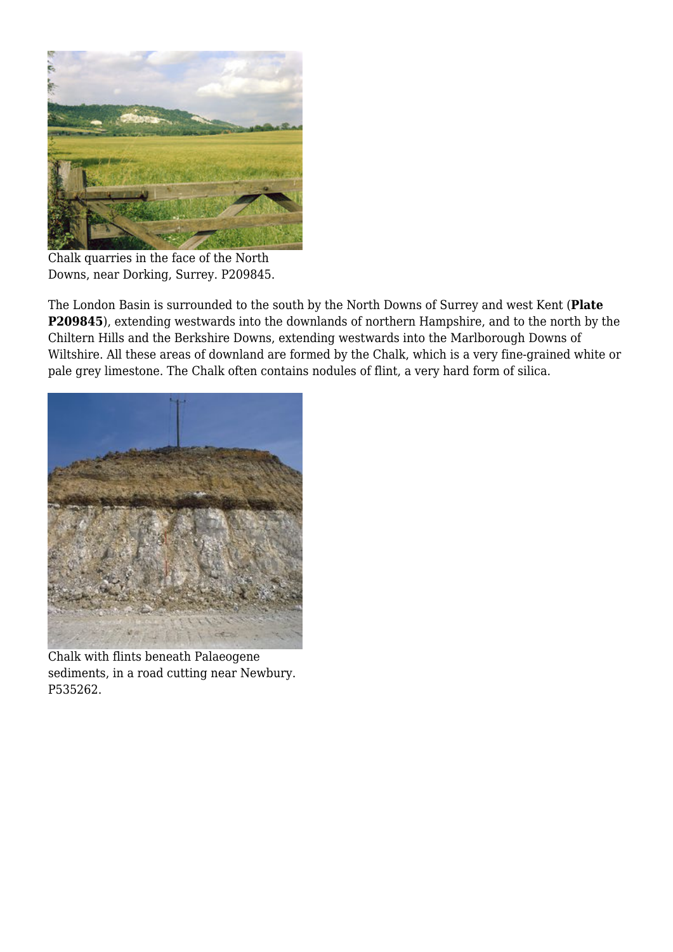

Chalk quarries in the face of the North Downs, near Dorking, Surrey. P209845.

The London Basin is surrounded to the south by the North Downs of Surrey and west Kent (**Plate P209845**), extending westwards into the downlands of northern Hampshire, and to the north by the Chiltern Hills and the Berkshire Downs, extending westwards into the Marlborough Downs of Wiltshire. All these areas of downland are formed by the Chalk, which is a very fine-grained white or pale grey limestone. The Chalk often contains nodules of flint, a very hard form of silica.



Chalk with flints beneath Palaeogene sediments, in a road cutting near Newbury. P535262.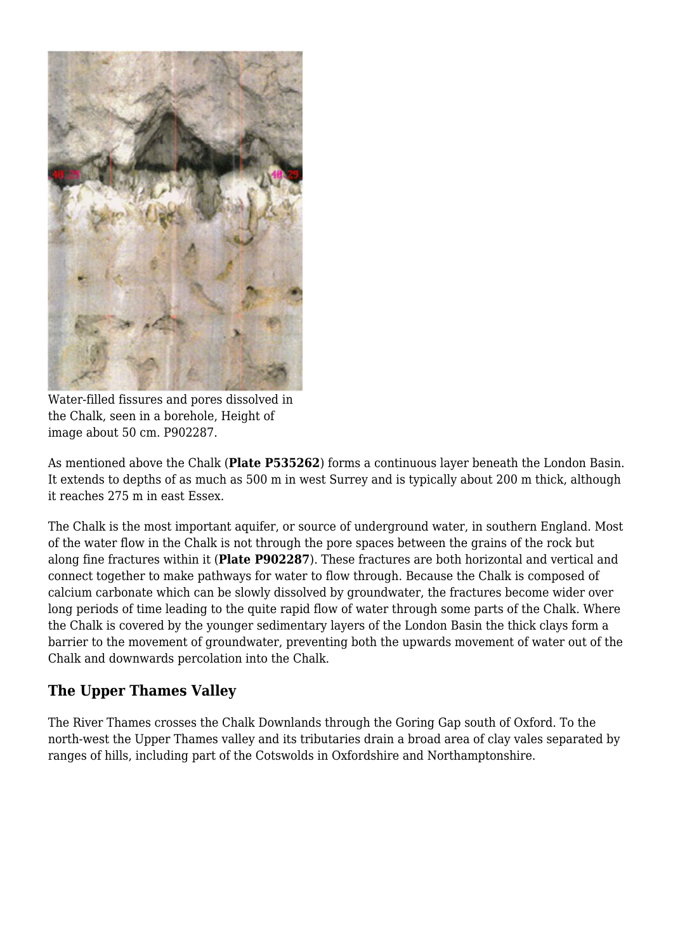

Water-filled fissures and pores dissolved in the Chalk, seen in a borehole, Height of image about 50 cm. P902287.

As mentioned above the Chalk (**Plate P535262**) forms a continuous layer beneath the London Basin. It extends to depths of as much as 500 m in west Surrey and is typically about 200 m thick, although it reaches 275 m in east Essex.

The Chalk is the most important aquifer, or source of underground water, in southern England. Most of the water flow in the Chalk is not through the pore spaces between the grains of the rock but along fine fractures within it (**Plate P902287**). These fractures are both horizontal and vertical and connect together to make pathways for water to flow through. Because the Chalk is composed of calcium carbonate which can be slowly dissolved by groundwater, the fractures become wider over long periods of time leading to the quite rapid flow of water through some parts of the Chalk. Where the Chalk is covered by the younger sedimentary layers of the London Basin the thick clays form a barrier to the movement of groundwater, preventing both the upwards movement of water out of the Chalk and downwards percolation into the Chalk.

#### **The Upper Thames Valley**

The River Thames crosses the Chalk Downlands through the Goring Gap south of Oxford. To the north-west the Upper Thames valley and its tributaries drain a broad area of clay vales separated by ranges of hills, including part of the Cotswolds in Oxfordshire and Northamptonshire.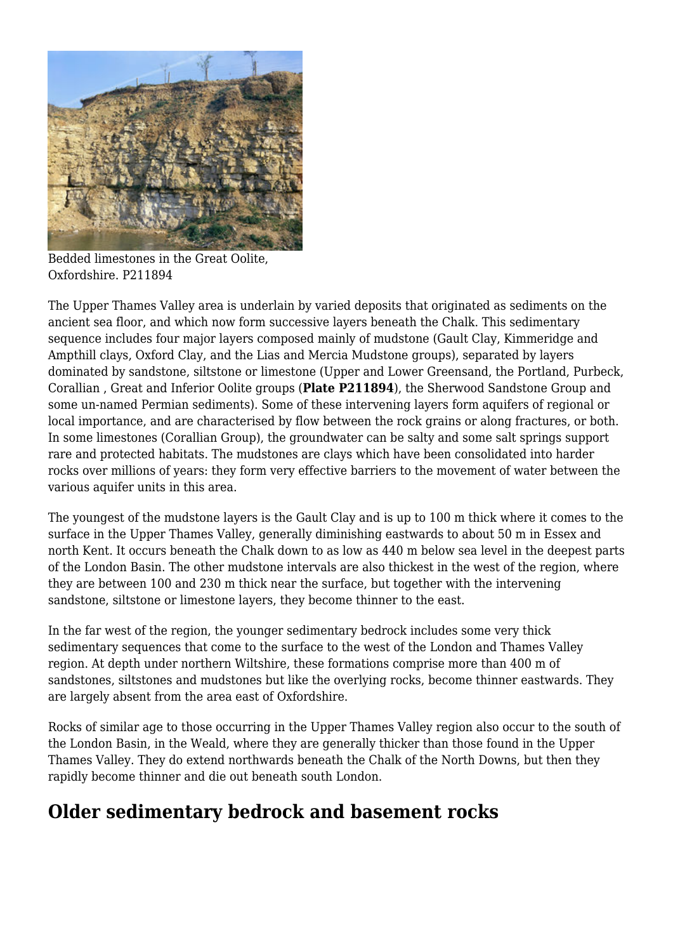

Bedded limestones in the Great Oolite, Oxfordshire. P211894

The Upper Thames Valley area is underlain by varied deposits that originated as sediments on the ancient sea floor, and which now form successive layers beneath the Chalk. This sedimentary sequence includes four major layers composed mainly of mudstone (Gault Clay, Kimmeridge and Ampthill clays, Oxford Clay, and the Lias and Mercia Mudstone groups), separated by layers dominated by sandstone, siltstone or limestone (Upper and Lower Greensand, the Portland, Purbeck, Corallian , Great and Inferior Oolite groups (**Plate P211894**), the Sherwood Sandstone Group and some un-named Permian sediments). Some of these intervening layers form aquifers of regional or local importance, and are characterised by flow between the rock grains or along fractures, or both. In some limestones (Corallian Group), the groundwater can be salty and some salt springs support rare and protected habitats. The mudstones are clays which have been consolidated into harder rocks over millions of years: they form very effective barriers to the movement of water between the various aquifer units in this area.

The youngest of the mudstone layers is the Gault Clay and is up to 100 m thick where it comes to the surface in the Upper Thames Valley, generally diminishing eastwards to about 50 m in Essex and north Kent. It occurs beneath the Chalk down to as low as 440 m below sea level in the deepest parts of the London Basin. The other mudstone intervals are also thickest in the west of the region, where they are between 100 and 230 m thick near the surface, but together with the intervening sandstone, siltstone or limestone layers, they become thinner to the east.

In the far west of the region, the younger sedimentary bedrock includes some very thick sedimentary sequences that come to the surface to the west of the London and Thames Valley region. At depth under northern Wiltshire, these formations comprise more than 400 m of sandstones, siltstones and mudstones but like the overlying rocks, become thinner eastwards. They are largely absent from the area east of Oxfordshire.

Rocks of similar age to those occurring in the Upper Thames Valley region also occur to the south of the London Basin, in the Weald, where they are generally thicker than those found in the Upper Thames Valley. They do extend northwards beneath the Chalk of the North Downs, but then they rapidly become thinner and die out beneath south London.

### **Older sedimentary bedrock and basement rocks**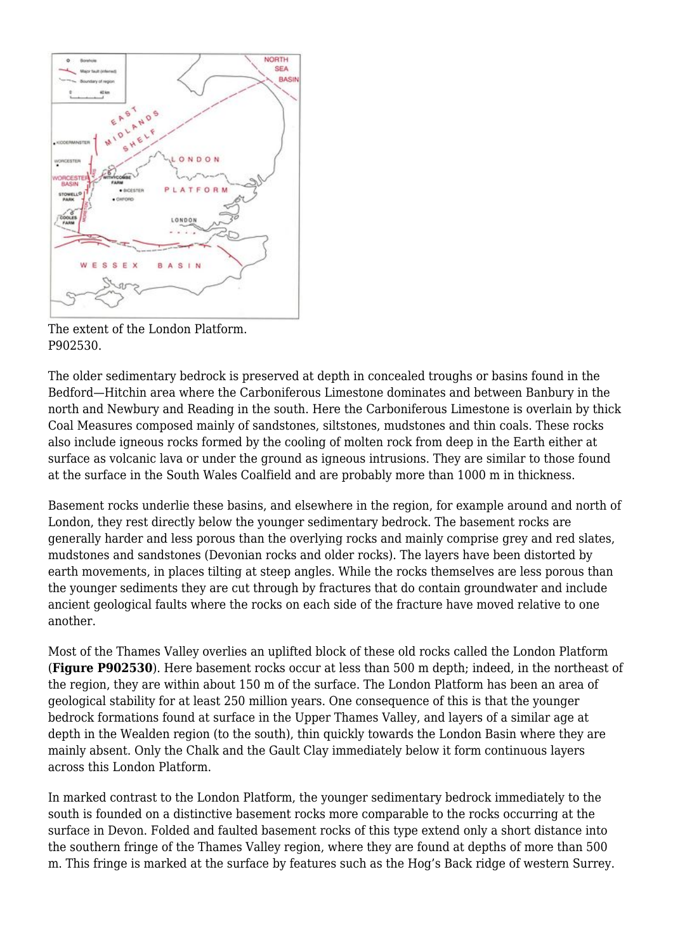

The extent of the London Platform. P902530.

The older sedimentary bedrock is preserved at depth in concealed troughs or basins found in the Bedford—Hitchin area where the Carboniferous Limestone dominates and between Banbury in the north and Newbury and Reading in the south. Here the Carboniferous Limestone is overlain by thick Coal Measures composed mainly of sandstones, siltstones, mudstones and thin coals. These rocks also include igneous rocks formed by the cooling of molten rock from deep in the Earth either at surface as volcanic lava or under the ground as igneous intrusions. They are similar to those found at the surface in the South Wales Coalfield and are probably more than 1000 m in thickness.

Basement rocks underlie these basins, and elsewhere in the region, for example around and north of London, they rest directly below the younger sedimentary bedrock. The basement rocks are generally harder and less porous than the overlying rocks and mainly comprise grey and red slates, mudstones and sandstones (Devonian rocks and older rocks). The layers have been distorted by earth movements, in places tilting at steep angles. While the rocks themselves are less porous than the younger sediments they are cut through by fractures that do contain groundwater and include ancient geological faults where the rocks on each side of the fracture have moved relative to one another.

Most of the Thames Valley overlies an uplifted block of these old rocks called the London Platform (**Figure P902530**). Here basement rocks occur at less than 500 m depth; indeed, in the northeast of the region, they are within about 150 m of the surface. The London Platform has been an area of geological stability for at least 250 million years. One consequence of this is that the younger bedrock formations found at surface in the Upper Thames Valley, and layers of a similar age at depth in the Wealden region (to the south), thin quickly towards the London Basin where they are mainly absent. Only the Chalk and the Gault Clay immediately below it form continuous layers across this London Platform.

In marked contrast to the London Platform, the younger sedimentary bedrock immediately to the south is founded on a distinctive basement rocks more comparable to the rocks occurring at the surface in Devon. Folded and faulted basement rocks of this type extend only a short distance into the southern fringe of the Thames Valley region, where they are found at depths of more than 500 m. This fringe is marked at the surface by features such as the Hog's Back ridge of western Surrey.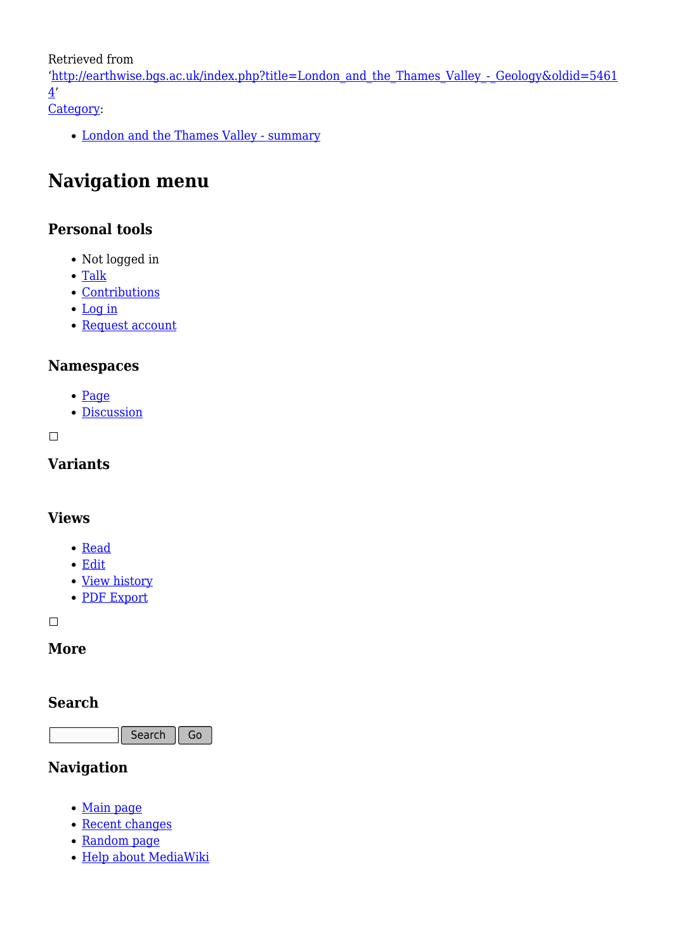Retrieved from

'[http://earthwise.bgs.ac.uk/index.php?title=London\\_and\\_the\\_Thames\\_Valley\\_-\\_Geology&oldid=5461](http://earthwise.bgs.ac.uk/index.php?title=London_and_the_Thames_Valley_-_Geology&oldid=54614)  $4'$ 

[Category](http://earthwise.bgs.ac.uk/index.php/Special:Categories):

[London and the Thames Valley - summary](http://earthwise.bgs.ac.uk/index.php/Category:London_and_the_Thames_Valley_-_summary)

### **Navigation menu**

#### **Personal tools**

- Not logged in
- [Talk](http://earthwise.bgs.ac.uk/index.php/Special:MyTalk)
- [Contributions](http://earthwise.bgs.ac.uk/index.php/Special:MyContributions)
- [Log in](http://earthwise.bgs.ac.uk/index.php?title=Special:UserLogin&returnto=London+and+the+Thames+Valley+-+Geology&returntoquery=action%3Dmpdf)
- [Request account](http://earthwise.bgs.ac.uk/index.php/Special:RequestAccount)

#### **Namespaces**

- [Page](http://earthwise.bgs.ac.uk/index.php/London_and_the_Thames_Valley_-_Geology)
- [Discussion](http://earthwise.bgs.ac.uk/index.php/Talk:London_and_the_Thames_Valley_-_Geology)

 $\overline{\phantom{a}}$ 

#### **Variants**

#### **Views**

- [Read](http://earthwise.bgs.ac.uk/index.php/London_and_the_Thames_Valley_-_Geology)
- [Edit](http://earthwise.bgs.ac.uk/index.php?title=London_and_the_Thames_Valley_-_Geology&action=edit)
- [View history](http://earthwise.bgs.ac.uk/index.php?title=London_and_the_Thames_Valley_-_Geology&action=history)
- [PDF Export](http://earthwise.bgs.ac.uk/index.php?title=London_and_the_Thames_Valley_-_Geology&action=mpdf)

 $\Box$ 

#### **More**

#### **Search**

Search  $\parallel$  Go

#### **Navigation**

- [Main page](http://earthwise.bgs.ac.uk/index.php/Main_Page)
- [Recent changes](http://earthwise.bgs.ac.uk/index.php/Special:RecentChanges)
- [Random page](http://earthwise.bgs.ac.uk/index.php/Special:Random)
- [Help about MediaWiki](https://www.mediawiki.org/wiki/Special:MyLanguage/Help:Contents)